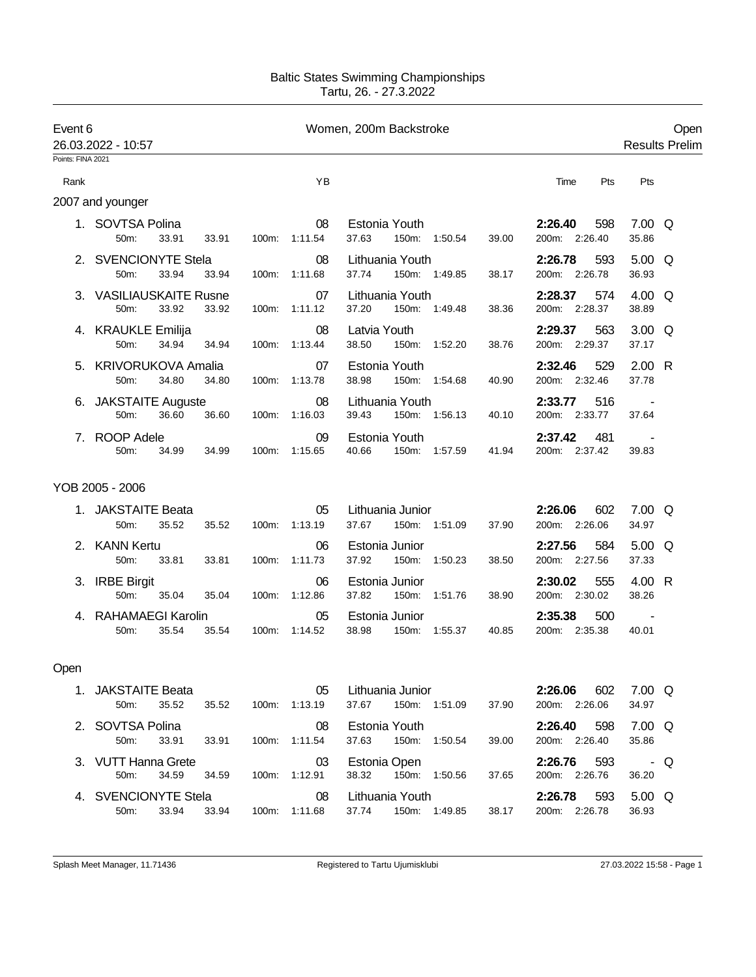## Baltic States Swimming Championships Tartu, 26. - 27.3.2022

| Event 6           |                                          |                | Women, 200m Backstroke |                                                    | Open                            |                                  |
|-------------------|------------------------------------------|----------------|------------------------|----------------------------------------------------|---------------------------------|----------------------------------|
|                   | 26.03.2022 - 10:57                       |                |                        |                                                    |                                 | <b>Results Prelim</b>            |
| Points: FINA 2021 |                                          |                |                        |                                                    |                                 |                                  |
| Rank              |                                          |                | YB                     |                                                    | Time<br><b>Pts</b>              | Pts                              |
|                   | 2007 and younger                         |                |                        |                                                    |                                 |                                  |
|                   | 1. SOVTSA Polina<br>33.91<br>50m:        | 33.91          | 08<br>100m: 1:11.54    | Estonia Youth<br>37.63<br>150m: 1:50.54<br>39.00   | 2:26.40<br>598<br>200m: 2:26.40 | $7.00 \Omega$<br>35.86           |
|                   | 2. SVENCIONYTE Stela<br>50m:<br>33.94    | 33.94          | 08<br>100m: 1:11.68    | Lithuania Youth<br>37.74<br>150m: 1:49.85<br>38.17 | 2:26.78<br>593<br>200m: 2:26.78 | $5.00\quad\Omega$<br>36.93       |
|                   | 3. VASILIAUSKAITE Rusne<br>50m:<br>33.92 | 33.92          | 07<br>100m: 1:11.12    | Lithuania Youth<br>37.20<br>150m: 1:49.48<br>38.36 | 2:28.37<br>574<br>200m: 2:28.37 | 4.00 $Q$<br>38.89                |
|                   | 4. KRAUKLE Emilija<br>50m:<br>34.94      | 34.94          | 08<br>100m: 1:13.44    | Latvia Youth<br>38.50<br>150m: 1:52.20<br>38.76    | 2:29.37<br>563<br>200m: 2:29.37 | $3.00\quad\Omega$<br>37.17       |
|                   | 5. KRIVORUKOVA Amalia<br>50m:<br>34.80   | 34.80          | 07<br>100m: 1:13.78    | Estonia Youth<br>38.98<br>150m: 1:54.68<br>40.90   | 529<br>2:32.46<br>200m: 2:32.46 | 2.00 R<br>37.78                  |
|                   | 6. JAKSTAITE Auguste<br>50m:<br>36.60    | 36.60          | 08<br>100m: 1:16.03    | Lithuania Youth<br>150m: 1:56.13<br>39.43<br>40.10 | 2:33.77<br>516<br>200m: 2:33.77 | $\sim 100$ km s $^{-1}$<br>37.64 |
|                   | 7. ROOP Adele<br>50m:<br>34.99           | 34.99<br>100m: | 09<br>1:15.65          | Estonia Youth<br>150m: 1:57.59<br>40.66<br>41.94   | 2:37.42<br>481<br>200m: 2:37.42 | 39.83                            |
|                   | YOB 2005 - 2006                          |                |                        |                                                    |                                 |                                  |
|                   | 1. JAKSTAITE Beata<br>50m:<br>35.52      | 35.52          | 05<br>100m: 1:13.19    | Lithuania Junior<br>37.67 150m: 1:51.09<br>37.90   | 2:26.06<br>602<br>200m: 2:26.06 | $7.00\quad$<br>34.97             |
|                   | 2. KANN Kertu<br>50m:<br>33.81           | 33.81          | 06<br>100m: 1:11.73    | Estonia Junior<br>37.92<br>150m: 1:50.23<br>38.50  | 2:27.56<br>584<br>200m: 2:27.56 | $5.00\quad Q$<br>37.33           |
|                   | 3. IRBE Birgit<br>50m:<br>35.04          | 35.04          | 06<br>100m: 1:12.86    | Estonia Junior<br>37.82  150m: 1:51.76<br>38.90    | 2:30.02<br>555<br>200m: 2:30.02 | 4.00 R<br>38.26                  |
|                   | 4. RAHAMAEGI Karolin<br>50m:<br>35.54    | 35.54          | 05<br>100m: 1:14.52    | Estonia Junior<br>38.98<br>150m: 1:55.37<br>40.85  | 500<br>2:35.38<br>200m: 2:35.38 | $\sim 100$ km s $^{-1}$<br>40.01 |
| Open              |                                          |                |                        |                                                    |                                 |                                  |
|                   | 1. JAKSTAITE Beata<br>50m:<br>35.52      | 35.52          | 05<br>100m: 1:13.19    | Lithuania Junior<br>37.67  150m: 1:51.09<br>37.90  | 2:26.06<br>602<br>200m: 2:26.06 | $7.00 \quad Q$<br>34.97          |
|                   | 2. SOVTSA Polina<br>50m:<br>33.91        | 33.91          | 08<br>100m: 1:11.54    | Estonia Youth<br>37.63 150m: 1:50.54<br>39.00      | 2:26.40 598<br>200m: 2:26.40    | $7.00\quad\Omega$<br>35.86       |
|                   | 3. VUTT Hanna Grete<br>50m:<br>34.59     | 34.59          | 03<br>100m: 1:12.91    | Estonia Open<br>38.32<br>150m: 1:50.56<br>37.65    | 2:26.76 593<br>200m: 2:26.76    | - Q<br>36.20                     |
|                   | 4. SVENCIONYTE Stela<br>50m:<br>33.94    | 33.94          | 08<br>100m: 1:11.68    | Lithuania Youth<br>37.74 150m: 1:49.85<br>38.17    | 2:26.78 593<br>200m: 2:26.78    | $5.00\quad Q$<br>36.93           |